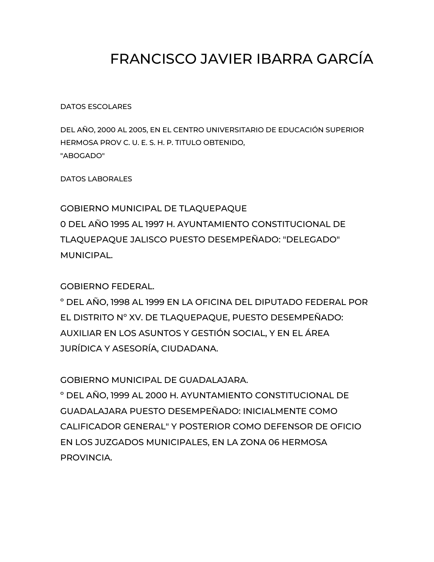## FRANCISCO JAVIER IBARRA GARCÍA

DATOS ESCOLARES

DEL AÑO, 2000 AL 2005, EN EL CENTRO UNIVERSITARIO DE EDUCACIÓN SUPERIOR HERMOSA PROV C. U. E. S. H. P. TITULO OBTENIDO, "ABOGADO"

DATOS LABORALES

GOBIERNO MUNICIPAL DE TLAQUEPAQUE 0 DEL AÑO 1995 AL 1997 H. AYUNTAMIENTO CONSTITUCIONAL DE TLAQUEPAQUE JALISCO PUESTO DESEMPEÑADO: "DELEGADO" MUNICIPAL.

GOBIERNO FEDERAL.

º DEL AÑO, 1998 AL 1999 EN LA OFICINA DEL DIPUTADO FEDERAL POR EL DISTRITO Nº XV. DE TLAQUEPAQUE, PUESTO DESEMPEÑADO: AUXILIAR EN LOS ASUNTOS Y GESTIÓN SOCIAL, Y EN EL ÁREA JURÍDICA Y ASESORÍA, CIUDADANA.

GOBIERNO MUNICIPAL DE GUADALAJARA.

º DEL AÑO, 1999 AL 2000 H. AYUNTAMIENTO CONSTITUCIONAL DE GUADALAJARA PUESTO DESEMPEÑADO: INICIALMENTE COMO CALIFICADOR GENERAL" Y POSTERIOR COMO DEFENSOR DE OFICIO EN LOS JUZGADOS MUNICIPALES, EN LA ZONA 06 HERMOSA PROVINCIA.